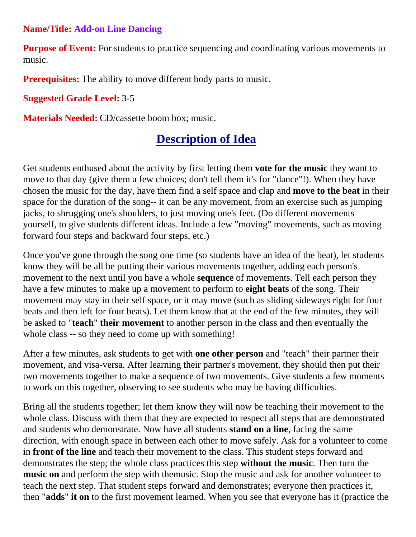## **Name/Title: Add-on Line Dancing**

**Purpose of Event:** For students to practice sequencing and coordinating various movements to music.

**Prerequisites:** The ability to move different body parts to music.

**Suggested Grade Level:** 3-5

**Materials Needed:** CD/cassette boom box; music.

## **Description of Idea**

Get students enthused about the activity by first letting them **vote for the music** they want to move to that day (give them a few choices; don't tell them it's for "dance"!). When they have chosen the music for the day, have them find a self space and clap and **move to the beat** in their space for the duration of the song-- it can be any movement, from an exercise such as jumping jacks, to shrugging one's shoulders, to just moving one's feet. (Do different movements yourself, to give students different ideas. Include a few "moving" movements, such as moving forward four steps and backward four steps, etc.)

Once you've gone through the song one time (so students have an idea of the beat), let students know they will be all be putting their various movements together, adding each person's movement to the next until you have a whole **sequence** of movements. Tell each person they have a few minutes to make up a movement to perform to **eight beats** of the song. Their movement may stay in their self space, or it may move (such as sliding sideways right for four beats and then left for four beats). Let them know that at the end of the few minutes, they will be asked to "**teach**" **their movement** to another person in the class and then eventually the whole class -- so they need to come up with something!

After a few minutes, ask students to get with **one other person** and "teach" their partner their movement, and visa-versa. After learning their partner's movement, they should then put their two movements together to make a sequence of two movements. Give students a few moments to work on this together, observing to see students who may be having difficulties.

Bring all the students together; let them know they will now be teaching their movement to the whole class. Discuss with them that they are expected to respect all steps that are demonstrated and students who demonstrate. Now have all students **stand on a line**, facing the same direction, with enough space in between each other to move safely. Ask for a volunteer to come in **front of the line** and teach their movement to the class. This student steps forward and demonstrates the step; the whole class practices this step **without the music**. Then turn the **music on** and perform the step with themusic. Stop the music and ask for another volunteer to teach the next step. That student steps forward and demonstrates; everyone then practices it, then "**adds**" **it on** to the first movement learned. When you see that everyone has it (practice the